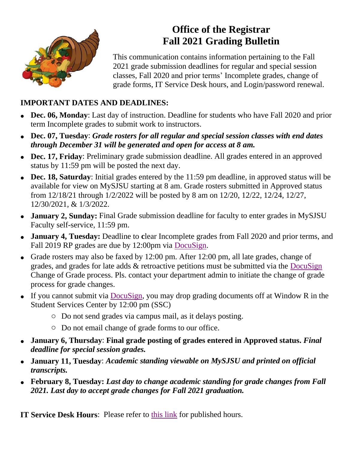

# **Office of the Registrar Fall 2021 Grading Bulletin**

This communication contains information pertaining to the Fall 2021 grade submission deadlines for regular and special session classes, Fall 2020 and prior terms' Incomplete grades, change of grade forms, IT Service Desk hours, and Login/password renewal.

#### **IMPORTANT DATES AND DEADLINES:**

- **Dec. 06, Monday**: Last day of instruction. Deadline for students who have Fall 2020 and prior term Incomplete grades to submit work to instructors.
- **Dec. 07, Tuesday**: *Grade rosters for all regular and special session classes with end dates through December 31 will be generated and open for access at 8 am.*
- **Dec. 17, Friday**: Preliminary grade submission deadline. All grades entered in an approved status by 11:59 pm will be posted the next day.
- **Dec. 18, Saturday**: Initial grades entered by the 11:59 pm deadline, in approved status will be available for view on MySJSU starting at 8 am. Grade rosters submitted in Approved status from 12/18/21 through 1/2/2022 will be posted by 8 am on 12/20, 12/22, 12/24, 12/27, 12/30/2021, & 1/3/2022.
- **January 2, Sunday:** Final Grade submission deadline for faculty to enter grades in MySJSU Faculty self-service, 11:59 pm.
- **January 4, Tuesday:** Deadline to **c**lear Incomplete grades from Fall 2020 and prior terms, and Fall 2019 RP grades are due by 12:00pm via [DocuSign.](https://www.sjsu.edu/it/training/docusign.php)
- Grade rosters may also be faxed by 12:00 pm. After 12:00 pm, all late grades, change of grades, and grades for late adds & retroactive petitions must be submitted via the [DocuSign](https://www.sjsu.edu/it/training/docusign.php) Change of Grade process. Pls. contact your department admin to initiate the change of grade process for grade changes.
- If you cannot submit via [DocuSign,](https://www.sjsu.edu/it/training/docusign.php) you may drop grading documents off at Window R in the Student Services Center by 12:00 pm (SSC)
	- o Do not send grades via campus mail, as it delays posting.
	- o Do not email change of grade forms to our office.
- **January 6, Thursday**: **Final grade posting of grades entered in Approved status.** *Final deadline for special session grades.*
- **January 11, Tuesday**: *Academic standing viewable on MySJSU and printed on official transcripts.*
- **February 8, Tuesday:** *Last day to change academic standing for grade changes from Fall 2021. Last day to accept grade changes for Fall 2021 graduation.*

**IT Service Desk Hours**: Please refer to [this](http://www.sjsu.edu/it/support/service-desk/index.php) link for published hours.